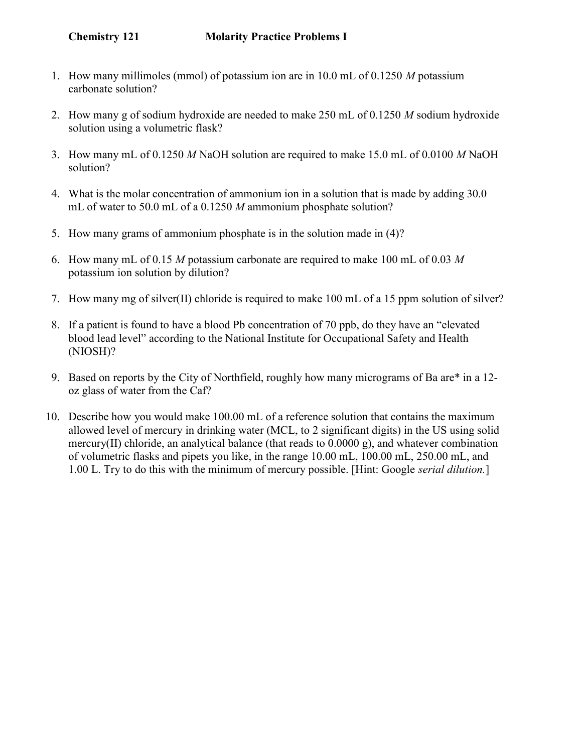- 1. How many millimoles (mmol) of potassium ion are in 10.0 mL of 0.1250 M potassium carbonate solution?
- 2. How many g of sodium hydroxide are needed to make 250 mL of 0.1250 M sodium hydroxide solution using a volumetric flask?
- 3. How many mL of 0.1250 M NaOH solution are required to make 15.0 mL of 0.0100 M NaOH solution?
- 4. What is the molar concentration of ammonium ion in a solution that is made by adding 30.0 mL of water to 50.0 mL of a 0.1250 M ammonium phosphate solution?
- 5. How many grams of ammonium phosphate is in the solution made in (4)?
- 6. How many mL of 0.15 M potassium carbonate are required to make 100 mL of 0.03 M potassium ion solution by dilution?
- 7. How many mg of silver(II) chloride is required to make 100 mL of a 15 ppm solution of silver?
- 8. If a patient is found to have a blood Pb concentration of 70 ppb, do they have an "elevated blood lead level" according to the National Institute for Occupational Safety and Health (NIOSH)?
- 9. Based on reports by the City of Northfield, roughly how many micrograms of Ba are\* in a 12 oz glass of water from the Caf?
- 10. Describe how you would make 100.00 mL of a reference solution that contains the maximum allowed level of mercury in drinking water (MCL, to 2 significant digits) in the US using solid mercury(II) chloride, an analytical balance (that reads to  $0.0000 \text{ g}$ ), and whatever combination of volumetric flasks and pipets you like, in the range 10.00 mL, 100.00 mL, 250.00 mL, and 1.00 L. Try to do this with the minimum of mercury possible. [Hint: Google *serial dilution*.]